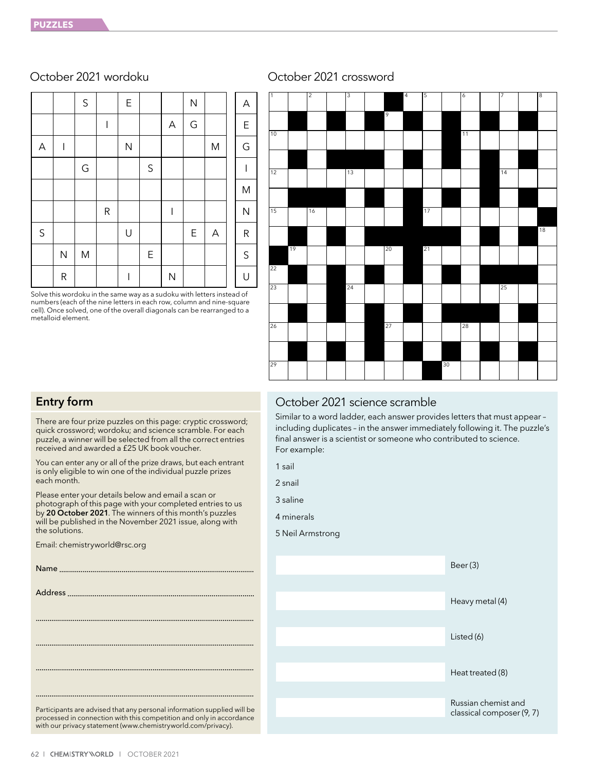|             |              | $\mathsf{S}$ |                          | $\mathsf E$  |         |              | $\overline{\mathsf{N}}$ |   | Α            |
|-------------|--------------|--------------|--------------------------|--------------|---------|--------------|-------------------------|---|--------------|
|             |              |              | $\overline{\phantom{a}}$ |              |         | A            | G                       |   | $\mathsf E$  |
| A           | I            |              |                          | $\mathsf{N}$ |         |              |                         | M | G            |
|             |              | G            |                          |              | $\sf S$ |              |                         |   | I            |
|             |              |              |                          |              |         |              |                         |   | ${\sf M}$    |
|             |              |              | R                        |              |         | I            |                         |   | $\mathsf{N}$ |
| $\mathsf S$ |              |              |                          | U            |         |              | E                       | A | ${\sf R}$    |
|             | $\mathsf{N}$ | M            |                          |              | E       |              |                         |   | $\mathsf S$  |
|             | R            |              |                          |              |         | $\mathsf{N}$ |                         |   | U            |

Solve this wordoku in the same way as a sudoku with letters instead of numbers (each of the nine letters in each row, column and nine-square cell). Once solved, one of the overall diagonals can be rearranged to a metalloid element.

# October 2021 wordoku October 2021 crossword



# Entry form

There are four prize puzzles on this page: cryptic crossword; quick crossword; wordoku; and science scramble. For each puzzle, a winner will be selected from all the correct entries received and awarded a £25 UK book voucher.

You can enter any or all of the prize draws, but each entrant is only eligible to win one of the individual puzzle prizes each month.

Please enter your details below and email a scan or photograph of this page with your completed entries to us by 20 October 2021. The winners of this month's puzzles will be published in the November 2021 issue, along with the solutions.

Email: chemistryworld@rsc.org

| Participants are advised that any personal information supplied will be<br>processed in connection with this competition and only in accordance<br>with our privacy statement (www.chemistryworld.com/privacy). |
|-----------------------------------------------------------------------------------------------------------------------------------------------------------------------------------------------------------------|

# October 2021 science scramble

Similar to a word ladder, each answer provides letters that must appear – including duplicates – in the answer immediately following it. The puzzle's final answer is a scientist or someone who contributed to science. For example:

- 1 sail
- 2 snail

3 saline

4 minerals

5 Neil Armstrong